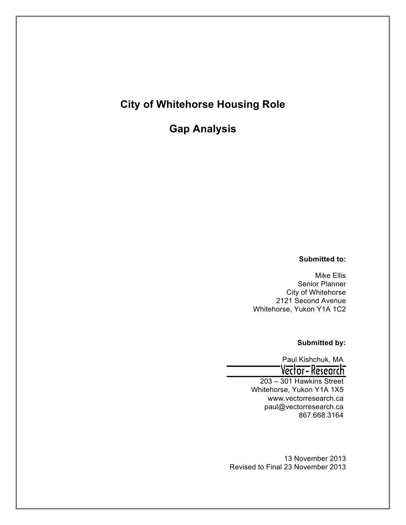# **City of Whitehorse Housing Role**

**Gap Analysis**

### **Submitted to:**

Mike Ellis Senior Planner City of Whitehorse 2121 Second Avenue Whitehorse, Yukon Y1A 1C2

#### **Submitted by:**

Paul Kishchuk, MA<br>Vector - Research 203 – 301 Hawkins Street

Whitehorse, Yukon Y1A 1X5 www.vectorresearch.ca paul@vectorresearch.ca 867.668.3164

13 November 2013 Revised to Final 23 November 2013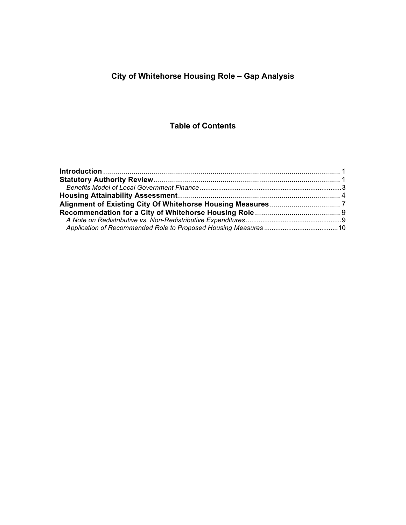# **City of Whitehorse Housing Role – Gap Analysis**

## **Table of Contents**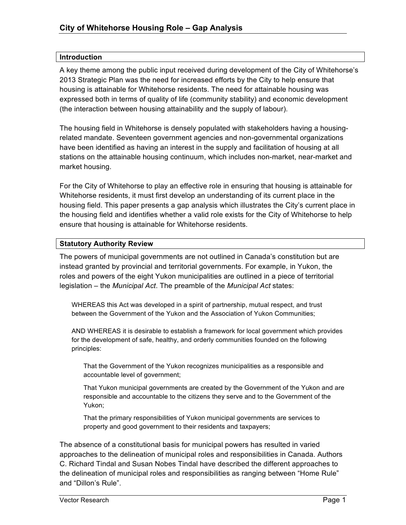#### **Introduction**

A key theme among the public input received during development of the City of Whitehorse's 2013 Strategic Plan was the need for increased efforts by the City to help ensure that housing is attainable for Whitehorse residents. The need for attainable housing was expressed both in terms of quality of life (community stability) and economic development (the interaction between housing attainability and the supply of labour).

The housing field in Whitehorse is densely populated with stakeholders having a housingrelated mandate. Seventeen government agencies and non-governmental organizations have been identified as having an interest in the supply and facilitation of housing at all stations on the attainable housing continuum, which includes non-market, near-market and market housing.

For the City of Whitehorse to play an effective role in ensuring that housing is attainable for Whitehorse residents, it must first develop an understanding of its current place in the housing field. This paper presents a gap analysis which illustrates the City's current place in the housing field and identifies whether a valid role exists for the City of Whitehorse to help ensure that housing is attainable for Whitehorse residents.

#### **Statutory Authority Review**

The powers of municipal governments are not outlined in Canada's constitution but are instead granted by provincial and territorial governments. For example, in Yukon, the roles and powers of the eight Yukon municipalities are outlined in a piece of territorial legislation – the *Municipal Act*. The preamble of the *Municipal Act* states:

WHEREAS this Act was developed in a spirit of partnership, mutual respect, and trust between the Government of the Yukon and the Association of Yukon Communities;

AND WHEREAS it is desirable to establish a framework for local government which provides for the development of safe, healthy, and orderly communities founded on the following principles:

That the Government of the Yukon recognizes municipalities as a responsible and accountable level of government;

That Yukon municipal governments are created by the Government of the Yukon and are responsible and accountable to the citizens they serve and to the Government of the Yukon;

That the primary responsibilities of Yukon municipal governments are services to property and good government to their residents and taxpayers;

The absence of a constitutional basis for municipal powers has resulted in varied approaches to the delineation of municipal roles and responsibilities in Canada. Authors C. Richard Tindal and Susan Nobes Tindal have described the different approaches to the delineation of municipal roles and responsibilities as ranging between "Home Rule" and "Dillon's Rule".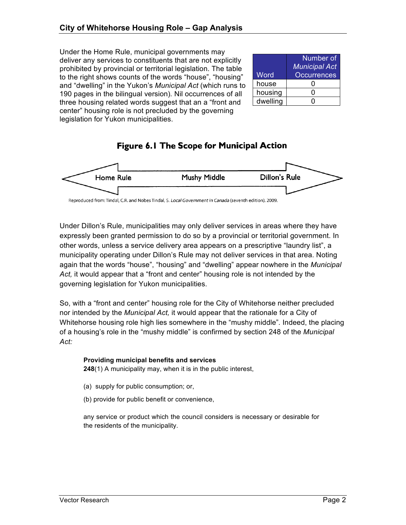Under the Home Rule, municipal governments may deliver any services to constituents that are not explicitly prohibited by provincial or territorial legislation. The table to the right shows counts of the words "house", "housing" and "dwelling" in the Yukon's *Municipal Act* (which runs to 190 pages in the bilingual version)*.* Nil occurrences of all three housing related words suggest that an a "front and center" housing role is not precluded by the governing legislation for Yukon municipalities.

|          | Number of<br><b>Municipal Act</b> |
|----------|-----------------------------------|
| Word     | <b>Occurrences</b>                |
| house    |                                   |
| housing  |                                   |
| dwelling |                                   |

## **Figure 6.1 The Scope for Municipal Action**



Reproduced from: Tindal, C.R. and Nobes Tindal, S. Local Government in Canada (seventh edition). 2009.

Under Dillon's Rule, municipalities may only deliver services in areas where they have expressly been granted permission to do so by a provincial or territorial government. In other words, unless a service delivery area appears on a prescriptive "laundry list", a municipality operating under Dillon's Rule may not deliver services in that area. Noting again that the words "house", "housing" and "dwelling" appear nowhere in the *Municipal Act,* it would appear that a "front and center" housing role is not intended by the governing legislation for Yukon municipalities.

So, with a "front and center" housing role for the City of Whitehorse neither precluded nor intended by the *Municipal Act,* it would appear that the rationale for a City of Whitehorse housing role high lies somewhere in the "mushy middle"*.* Indeed, the placing of a housing's role in the "mushy middle" is confirmed by section 248 of the *Municipal Act:* 

#### **Providing municipal benefits and services**

**248**(1) A municipality may, when it is in the public interest,

- (a) supply for public consumption; or,
- (b) provide for public benefit or convenience,

any service or product which the council considers is necessary or desirable for the residents of the municipality.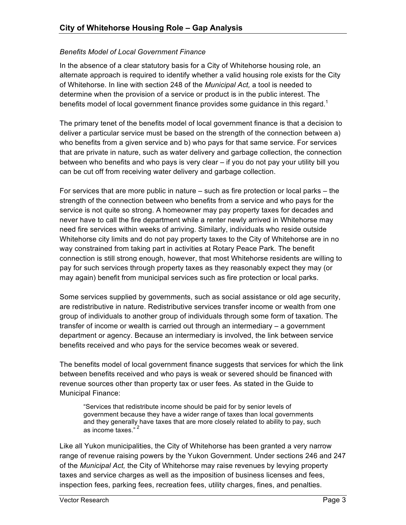#### *Benefits Model of Local Government Finance*

In the absence of a clear statutory basis for a City of Whitehorse housing role, an alternate approach is required to identify whether a valid housing role exists for the City of Whitehorse. In line with section 248 of the *Municipal Act,* a tool is needed to determine when the provision of a service or product is in the public interest. The benefits model of local government finance provides some guidance in this regard.<sup>1</sup>

The primary tenet of the benefits model of local government finance is that a decision to deliver a particular service must be based on the strength of the connection between a) who benefits from a given service and b) who pays for that same service. For services that are private in nature, such as water delivery and garbage collection, the connection between who benefits and who pays is very clear – if you do not pay your utility bill you can be cut off from receiving water delivery and garbage collection.

For services that are more public in nature – such as fire protection or local parks – the strength of the connection between who benefits from a service and who pays for the service is not quite so strong. A homeowner may pay property taxes for decades and never have to call the fire department while a renter newly arrived in Whitehorse may need fire services within weeks of arriving. Similarly, individuals who reside outside Whitehorse city limits and do not pay property taxes to the City of Whitehorse are in no way constrained from taking part in activities at Rotary Peace Park. The benefit connection is still strong enough, however, that most Whitehorse residents are willing to pay for such services through property taxes as they reasonably expect they may (or may again) benefit from municipal services such as fire protection or local parks.

Some services supplied by governments, such as social assistance or old age security, are redistributive in nature. Redistributive services transfer income or wealth from one group of individuals to another group of individuals through some form of taxation. The transfer of income or wealth is carried out through an intermediary – a government department or agency. Because an intermediary is involved, the link between service benefits received and who pays for the service becomes weak or severed.

The benefits model of local government finance suggests that services for which the link between benefits received and who pays is weak or severed should be financed with revenue sources other than property tax or user fees. As stated in the Guide to Municipal Finance:

"Services that redistribute income should be paid for by senior levels of government because they have a wider range of taxes than local governments and they generally have taxes that are more closely related to ability to pay, such as income taxes."<sup>2</sup>

Like all Yukon municipalities, the City of Whitehorse has been granted a very narrow range of revenue raising powers by the Yukon Government. Under sections 246 and 247 of the *Municipal Act,* the City of Whitehorse may raise revenues by levying property taxes and service charges as well as the imposition of business licenses and fees, inspection fees, parking fees, recreation fees, utility charges, fines, and penalties.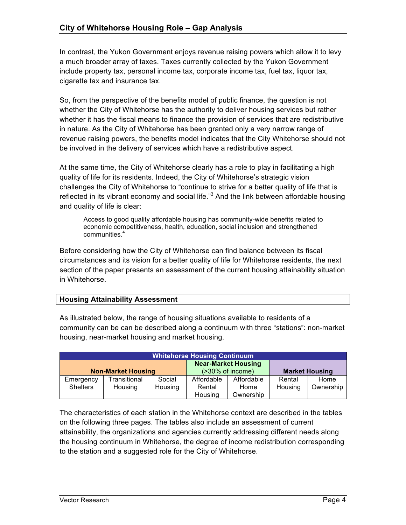In contrast, the Yukon Government enjoys revenue raising powers which allow it to levy a much broader array of taxes. Taxes currently collected by the Yukon Government include property tax, personal income tax, corporate income tax, fuel tax, liquor tax, cigarette tax and insurance tax.

So, from the perspective of the benefits model of public finance, the question is not whether the City of Whitehorse has the authority to deliver housing services but rather whether it has the fiscal means to finance the provision of services that are redistributive in nature. As the City of Whitehorse has been granted only a very narrow range of revenue raising powers, the benefits model indicates that the City Whitehorse should not be involved in the delivery of services which have a redistributive aspect.

At the same time, the City of Whitehorse clearly has a role to play in facilitating a high quality of life for its residents. Indeed, the City of Whitehorse's strategic vision challenges the City of Whitehorse to "continue to strive for a better quality of life that is reflected in its vibrant economy and social life.<sup>"3</sup> And the link between affordable housing and quality of life is clear:

Access to good quality affordable housing has community-wide benefits related to economic competitiveness, health, education, social inclusion and strengthened communities.4

Before considering how the City of Whitehorse can find balance between its fiscal circumstances and its vision for a better quality of life for Whitehorse residents, the next section of the paper presents an assessment of the current housing attainability situation in Whitehorse.

### **Housing Attainability Assessment**

As illustrated below, the range of housing situations available to residents of a community can be can be described along a continuum with three "stations": non-market housing, near-market housing and market housing.

| <b>Whitehorse Housing Continuum</b> |              |                                                            |                |                       |         |           |
|-------------------------------------|--------------|------------------------------------------------------------|----------------|-----------------------|---------|-----------|
| <b>Non-Market Housing</b>           |              | <b>Near-Market Housing</b><br>$( >30\% \text{ of income})$ |                | <b>Market Housing</b> |         |           |
| Emergency                           | Transitional | Social                                                     | Affordable     | Affordable            | Rental  | Home      |
| <b>Shelters</b>                     | Housing      | Housing                                                    | Rental<br>Home |                       | Housing | Ownership |
|                                     |              |                                                            | Housing        | Ownership             |         |           |

The characteristics of each station in the Whitehorse context are described in the tables on the following three pages. The tables also include an assessment of current attainability, the organizations and agencies currently addressing different needs along the housing continuum in Whitehorse, the degree of income redistribution corresponding to the station and a suggested role for the City of Whitehorse.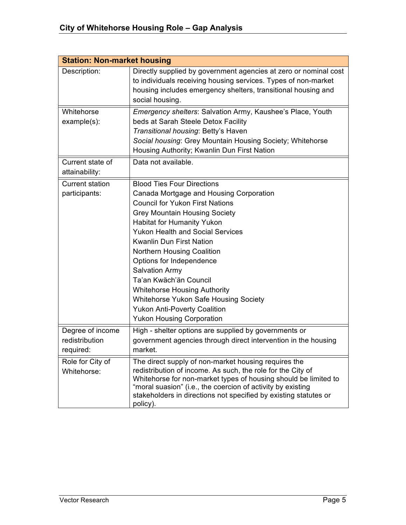| <b>Station: Non-market housing</b>              |                                                                                                                                                                                                                                                                                                                                                                                                                                                                                                                                                    |  |  |
|-------------------------------------------------|----------------------------------------------------------------------------------------------------------------------------------------------------------------------------------------------------------------------------------------------------------------------------------------------------------------------------------------------------------------------------------------------------------------------------------------------------------------------------------------------------------------------------------------------------|--|--|
| Description:                                    | Directly supplied by government agencies at zero or nominal cost<br>to individuals receiving housing services. Types of non-market<br>housing includes emergency shelters, transitional housing and<br>social housing.                                                                                                                                                                                                                                                                                                                             |  |  |
| Whitehorse<br>example(s):                       | Emergency shelters: Salvation Army, Kaushee's Place, Youth<br>beds at Sarah Steele Detox Facility<br>Transitional housing: Betty's Haven<br>Social housing: Grey Mountain Housing Society; Whitehorse<br>Housing Authority; Kwanlin Dun First Nation                                                                                                                                                                                                                                                                                               |  |  |
| Current state of<br>attainability:              | Data not available.                                                                                                                                                                                                                                                                                                                                                                                                                                                                                                                                |  |  |
| <b>Current station</b><br>participants:         | <b>Blood Ties Four Directions</b><br>Canada Mortgage and Housing Corporation<br><b>Council for Yukon First Nations</b><br><b>Grey Mountain Housing Society</b><br>Habitat for Humanity Yukon<br><b>Yukon Health and Social Services</b><br>Kwanlin Dun First Nation<br><b>Northern Housing Coalition</b><br>Options for Independence<br><b>Salvation Army</b><br>Ta'an Kwäch'än Council<br><b>Whitehorse Housing Authority</b><br>Whitehorse Yukon Safe Housing Society<br><b>Yukon Anti-Poverty Coalition</b><br><b>Yukon Housing Corporation</b> |  |  |
| Degree of income<br>redistribution<br>required: | High - shelter options are supplied by governments or<br>government agencies through direct intervention in the housing<br>market.                                                                                                                                                                                                                                                                                                                                                                                                                 |  |  |
| Role for City of<br>Whitehorse:                 | The direct supply of non-market housing requires the<br>redistribution of income. As such, the role for the City of<br>Whitehorse for non-market types of housing should be limited to<br>"moral suasion" (i.e., the coercion of activity by existing<br>stakeholders in directions not specified by existing statutes or<br>policy).                                                                                                                                                                                                              |  |  |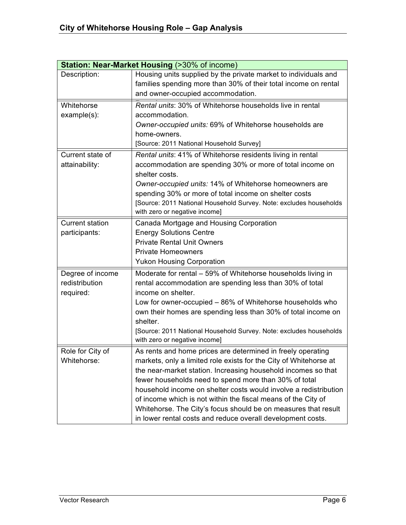| <b>Station: Near-Market Housing (&gt;30% of income)</b> |                                                                    |  |  |
|---------------------------------------------------------|--------------------------------------------------------------------|--|--|
| Description:                                            | Housing units supplied by the private market to individuals and    |  |  |
|                                                         | families spending more than 30% of their total income on rental    |  |  |
|                                                         | and owner-occupied accommodation.                                  |  |  |
| Whitehorse                                              | Rental units: 30% of Whitehorse households live in rental          |  |  |
| example(s):                                             | accommodation.                                                     |  |  |
|                                                         | Owner-occupied units: 69% of Whitehorse households are             |  |  |
|                                                         | home-owners.                                                       |  |  |
|                                                         | [Source: 2011 National Household Survey]                           |  |  |
| Current state of                                        | Rental units: 41% of Whitehorse residents living in rental         |  |  |
| attainability:                                          | accommodation are spending 30% or more of total income on          |  |  |
|                                                         | shelter costs.                                                     |  |  |
|                                                         | Owner-occupied units: 14% of Whitehorse homeowners are             |  |  |
|                                                         | spending 30% or more of total income on shelter costs              |  |  |
|                                                         | [Source: 2011 National Household Survey. Note: excludes households |  |  |
|                                                         | with zero or negative income]                                      |  |  |
| <b>Current station</b>                                  | Canada Mortgage and Housing Corporation                            |  |  |
| participants:                                           | <b>Energy Solutions Centre</b>                                     |  |  |
|                                                         | <b>Private Rental Unit Owners</b>                                  |  |  |
|                                                         | <b>Private Homeowners</b>                                          |  |  |
|                                                         | <b>Yukon Housing Corporation</b>                                   |  |  |
| Degree of income                                        | Moderate for rental - 59% of Whitehorse households living in       |  |  |
| redistribution                                          | rental accommodation are spending less than 30% of total           |  |  |
| required:                                               | income on shelter.                                                 |  |  |
|                                                         | Low for owner-occupied – 86% of Whitehorse households who          |  |  |
|                                                         | own their homes are spending less than 30% of total income on      |  |  |
|                                                         | shelter.                                                           |  |  |
|                                                         | [Source: 2011 National Household Survey. Note: excludes households |  |  |
|                                                         | with zero or negative income]                                      |  |  |
| Role for City of                                        | As rents and home prices are determined in freely operating        |  |  |
| Whitehorse:                                             | markets, only a limited role exists for the City of Whitehorse at  |  |  |
|                                                         | the near-market station. Increasing household incomes so that      |  |  |
|                                                         | fewer households need to spend more than 30% of total              |  |  |
|                                                         | household income on shelter costs would involve a redistribution   |  |  |
|                                                         | of income which is not within the fiscal means of the City of      |  |  |
|                                                         | Whitehorse. The City's focus should be on measures that result     |  |  |
|                                                         | in lower rental costs and reduce overall development costs.        |  |  |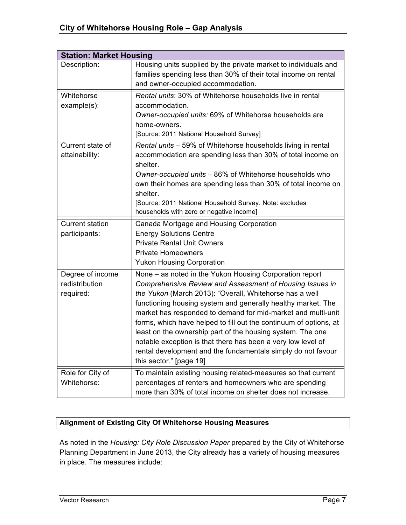| <b>Station: Market Housing</b>                  |                                                                                                                                                                                                                                                                                                                                                                                                                                                                                                                                                                                                              |
|-------------------------------------------------|--------------------------------------------------------------------------------------------------------------------------------------------------------------------------------------------------------------------------------------------------------------------------------------------------------------------------------------------------------------------------------------------------------------------------------------------------------------------------------------------------------------------------------------------------------------------------------------------------------------|
| Description:                                    | Housing units supplied by the private market to individuals and<br>families spending less than 30% of their total income on rental<br>and owner-occupied accommodation.                                                                                                                                                                                                                                                                                                                                                                                                                                      |
| Whitehorse<br>example(s):                       | Rental units: 30% of Whitehorse households live in rental<br>accommodation.<br>Owner-occupied units: 69% of Whitehorse households are<br>home-owners.<br>[Source: 2011 National Household Survey]                                                                                                                                                                                                                                                                                                                                                                                                            |
| Current state of<br>attainability:              | Rental units - 59% of Whitehorse households living in rental<br>accommodation are spending less than 30% of total income on<br>shelter.<br>Owner-occupied units - 86% of Whitehorse households who<br>own their homes are spending less than 30% of total income on<br>shelter.<br>[Source: 2011 National Household Survey. Note: excludes<br>households with zero or negative income]                                                                                                                                                                                                                       |
| <b>Current station</b><br>participants:         | Canada Mortgage and Housing Corporation<br><b>Energy Solutions Centre</b><br><b>Private Rental Unit Owners</b><br><b>Private Homeowners</b><br><b>Yukon Housing Corporation</b>                                                                                                                                                                                                                                                                                                                                                                                                                              |
| Degree of income<br>redistribution<br>required: | None - as noted in the Yukon Housing Corporation report<br>Comprehensive Review and Assessment of Housing Issues in<br>the Yukon (March 2013): "Overall, Whitehorse has a well<br>functioning housing system and generally healthy market. The<br>market has responded to demand for mid-market and multi-unit<br>forms, which have helped to fill out the continuum of options, at<br>least on the ownership part of the housing system. The one<br>notable exception is that there has been a very low level of<br>rental development and the fundamentals simply do not favour<br>this sector." [page 19] |
| Role for City of<br>Whitehorse:                 | To maintain existing housing related-measures so that current<br>percentages of renters and homeowners who are spending<br>more than 30% of total income on shelter does not increase.                                                                                                                                                                                                                                                                                                                                                                                                                       |

### **Alignment of Existing City Of Whitehorse Housing Measures**

As noted in the *Housing: City Role Discussion Paper* prepared by the City of Whitehorse Planning Department in June 2013, the City already has a variety of housing measures in place. The measures include: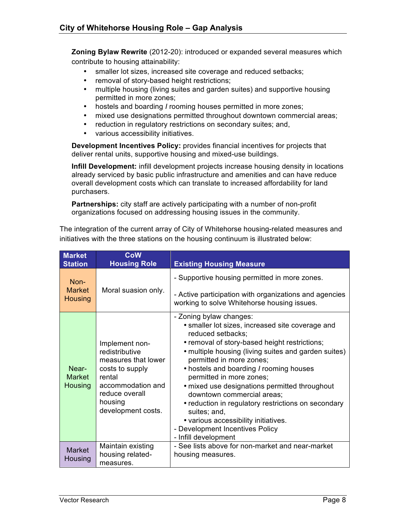**Zoning Bylaw Rewrite** (2012-20): introduced or expanded several measures which contribute to housing attainability:

- smaller lot sizes, increased site coverage and reduced setbacks;
- removal of story-based height restrictions;
- multiple housing (living suites and garden suites) and supportive housing permitted in more zones;
- hostels and boarding *I* rooming houses permitted in more zones;
- mixed use designations permitted throughout downtown commercial areas;
- reduction in regulatory restrictions on secondary suites; and,
- various accessibility initiatives.

**Development Incentives Policy:** provides financial incentives for projects that deliver rental units, supportive housing and mixed-use buildings.

**Infill Development:** infill development projects increase housing density in locations already serviced by basic public infrastructure and amenities and can have reduce overall development costs which can translate to increased affordability for land purchasers.

**Partnerships:** city staff are actively participating with a number of non-profit organizations focused on addressing housing issues in the community.

| <b>Market</b><br><b>Station</b>           | <b>CoW</b><br><b>Housing Role</b>                                                                                                                            | <b>Existing Housing Measure</b>                                                                                                                                                                                                                                                                                                                                                                                                                                                                                                                                       |  |  |
|-------------------------------------------|--------------------------------------------------------------------------------------------------------------------------------------------------------------|-----------------------------------------------------------------------------------------------------------------------------------------------------------------------------------------------------------------------------------------------------------------------------------------------------------------------------------------------------------------------------------------------------------------------------------------------------------------------------------------------------------------------------------------------------------------------|--|--|
| $Non-$<br><b>Market</b><br><b>Housing</b> | Moral suasion only.                                                                                                                                          | - Supportive housing permitted in more zones.<br>- Active participation with organizations and agencies<br>working to solve Whitehorse housing issues.                                                                                                                                                                                                                                                                                                                                                                                                                |  |  |
| Near-<br><b>Market</b><br><b>Housing</b>  | Implement non-<br>redistributive<br>measures that lower<br>costs to supply<br>rental<br>accommodation and<br>reduce overall<br>housing<br>development costs. | - Zoning bylaw changes:<br>· smaller lot sizes, increased site coverage and<br>reduced setbacks;<br>• removal of story-based height restrictions;<br>• multiple housing (living suites and garden suites)<br>permitted in more zones;<br>• hostels and boarding / rooming houses<br>permitted in more zones;<br>• mixed use designations permitted throughout<br>downtown commercial areas;<br>• reduction in regulatory restrictions on secondary<br>suites; and,<br>• various accessibility initiatives.<br>- Development Incentives Policy<br>- Infill development |  |  |
| <b>Market</b><br>Housing                  | Maintain existing<br>housing related-<br>measures.                                                                                                           | - See lists above for non-market and near-market<br>housing measures.                                                                                                                                                                                                                                                                                                                                                                                                                                                                                                 |  |  |

The integration of the current array of City of Whitehorse housing-related measures and initiatives with the three stations on the housing continuum is illustrated below: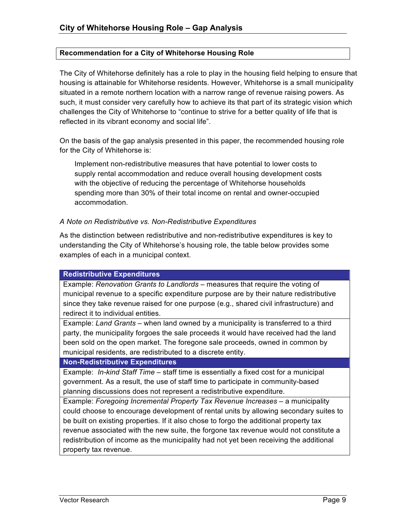#### **Recommendation for a City of Whitehorse Housing Role**

The City of Whitehorse definitely has a role to play in the housing field helping to ensure that housing is attainable for Whitehorse residents. However, Whitehorse is a small municipality situated in a remote northern location with a narrow range of revenue raising powers. As such, it must consider very carefully how to achieve its that part of its strategic vision which challenges the City of Whitehorse to "continue to strive for a better quality of life that is reflected in its vibrant economy and social life".

On the basis of the gap analysis presented in this paper, the recommended housing role for the City of Whitehorse is:

Implement non-redistributive measures that have potential to lower costs to supply rental accommodation and reduce overall housing development costs with the objective of reducing the percentage of Whitehorse households spending more than 30% of their total income on rental and owner-occupied accommodation.

#### *A Note on Redistributive vs. Non-Redistributive Expenditures*

As the distinction between redistributive and non-redistributive expenditures is key to understanding the City of Whitehorse's housing role, the table below provides some examples of each in a municipal context.

#### **Redistributive Expenditures**

Example: *Renovation Grants to Landlords* – measures that require the voting of municipal revenue to a specific expenditure purpose are by their nature redistributive since they take revenue raised for one purpose (e.g., shared civil infrastructure) and redirect it to individual entities.

Example: *Land Grants* – when land owned by a municipality is transferred to a third party, the municipality forgoes the sale proceeds it would have received had the land been sold on the open market. The foregone sale proceeds, owned in common by municipal residents, are redistributed to a discrete entity.

#### **Non-Redistributive Expenditures**

Example: *In-kind Staff Time* – staff time is essentially a fixed cost for a municipal government. As a result, the use of staff time to participate in community-based planning discussions does not represent a redistributive expenditure.

Example: *Foregoing Incremental Property Tax Revenue Increases* – a municipality could choose to encourage development of rental units by allowing secondary suites to be built on existing properties. If it also chose to forgo the additional property tax revenue associated with the new suite, the forgone tax revenue would not constitute a redistribution of income as the municipality had not yet been receiving the additional property tax revenue.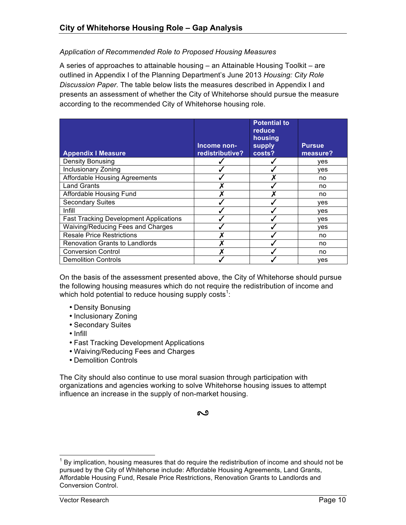#### *Application of Recommended Role to Proposed Housing Measures*

A series of approaches to attainable housing – an Attainable Housing Toolkit – are outlined in Appendix I of the Planning Department's June 2013 *Housing: City Role Discussion Paper.* The table below lists the measures described in Appendix I and presents an assessment of whether the City of Whitehorse should pursue the measure according to the recommended City of Whitehorse housing role.

| <b>Appendix I Measure</b>                     | Income non-<br>redistributive? | <b>Potential to</b><br>reduce<br>housing<br>supply<br>costs? | <b>Pursue</b><br>measure? |
|-----------------------------------------------|--------------------------------|--------------------------------------------------------------|---------------------------|
| Density Bonusing                              |                                |                                                              | <b>ves</b>                |
| Inclusionary Zoning                           |                                |                                                              | ves                       |
| <b>Affordable Housing Agreements</b>          |                                |                                                              | no                        |
| <b>Land Grants</b>                            |                                |                                                              | no                        |
| Affordable Housing Fund                       |                                |                                                              | no                        |
| <b>Secondary Suites</b>                       |                                |                                                              | ves                       |
| Infill                                        |                                |                                                              | ves                       |
| <b>Fast Tracking Development Applications</b> |                                |                                                              | yes                       |
| Waiving/Reducing Fees and Charges             |                                |                                                              | yes                       |
| <b>Resale Price Restrictions</b>              |                                |                                                              | no                        |
| <b>Renovation Grants to Landlords</b>         |                                |                                                              | no                        |
| <b>Conversion Control</b>                     |                                |                                                              | no                        |
| <b>Demolition Controls</b>                    |                                |                                                              | yes                       |

On the basis of the assessment presented above, the City of Whitehorse should pursue the following housing measures which do not require the redistribution of income and which hold potential to reduce housing supply costs<sup>1</sup>:

- Density Bonusing
- Inclusionary Zoning
- Secondary Suites
- Infill
- Fast Tracking Development Applications
- Waiving/Reducing Fees and Charges
- Demolition Controls

The City should also continue to use moral suasion through participation with organizations and agencies working to solve Whitehorse housing issues to attempt influence an increase in the supply of non-market housing.

#### ಲ

 $1$  By implication, housing measures that do require the redistribution of income and should not be pursued by the City of Whitehorse include: Affordable Housing Agreements, Land Grants, Affordable Housing Fund, Resale Price Restrictions, Renovation Grants to Landlords and Conversion Control.